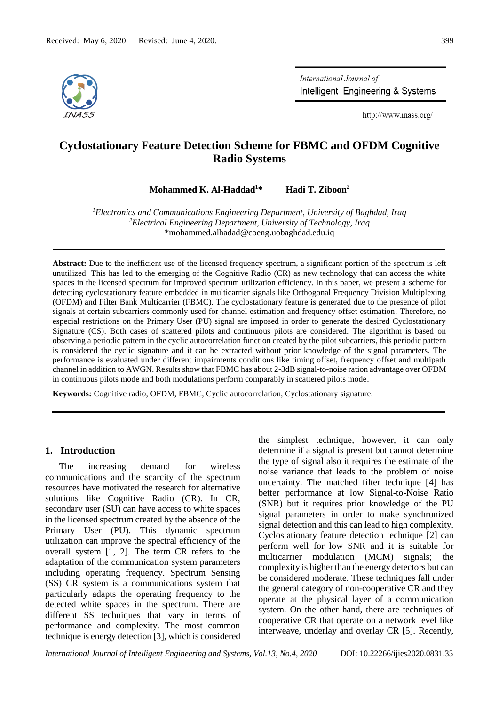

International Journal of Intelligent Engineering & Systems

http://www.inass.org/

# **Cyclostationary Feature Detection Scheme for FBMC and OFDM Cognitive Radio Systems**

**Mohammed K. Al-Haddad<sup>1</sup>\* Hadi T. Ziboon<sup>2</sup>**

*<sup>1</sup>Electronics and Communications Engineering Department, University of Baghdad, Iraq <sup>2</sup>Electrical Engineering Department, University of Technology, Iraq* \*mohammed.alhadad@coeng.uobaghdad.edu.iq

**Abstract:** Due to the inefficient use of the licensed frequency spectrum, a significant portion of the spectrum is left unutilized. This has led to the emerging of the Cognitive Radio (CR) as new technology that can access the white spaces in the licensed spectrum for improved spectrum utilization efficiency. In this paper, we present a scheme for detecting cyclostationary feature embedded in multicarrier signals like Orthogonal Frequency Division Multiplexing (OFDM) and Filter Bank Multicarrier (FBMC). The cyclostationary feature is generated due to the presence of pilot signals at certain subcarriers commonly used for channel estimation and frequency offset estimation. Therefore, no especial restrictions on the Primary User (PU) signal are imposed in order to generate the desired Cyclostationary Signature (CS). Both cases of scattered pilots and continuous pilots are considered. The algorithm is based on observing a periodic pattern in the cyclic autocorrelation function created by the pilot subcarriers, this periodic pattern is considered the cyclic signature and it can be extracted without prior knowledge of the signal parameters. The performance is evaluated under different impairments conditions like timing offset, frequency offset and multipath channel in addition to AWGN. Results show that FBMC has about 2-3dB signal-to-noise ration advantage over OFDM in continuous pilots mode and both modulations perform comparably in scattered pilots mode.

**Keywords:** Cognitive radio, OFDM, FBMC, Cyclic autocorrelation, Cyclostationary signature.

### **1. Introduction**

The increasing demand for wireless communications and the scarcity of the spectrum resources have motivated the research for alternative solutions like Cognitive Radio (CR). In CR, secondary user (SU) can have access to white spaces in the licensed spectrum created by the absence of the Primary User (PU). This dynamic spectrum utilization can improve the spectral efficiency of the overall system [1, 2]. The term CR refers to the adaptation of the communication system parameters including operating frequency. Spectrum Sensing (SS) CR system is a communications system that particularly adapts the operating frequency to the detected white spaces in the spectrum. There are different SS techniques that vary in terms of performance and complexity. The most common technique is energy detection [3], which is considered the simplest technique, however, it can only determine if a signal is present but cannot determine the type of signal also it requires the estimate of the noise variance that leads to the problem of noise uncertainty. The matched filter technique [4] has better performance at low Signal-to-Noise Ratio (SNR) but it requires prior knowledge of the PU signal parameters in order to make synchronized signal detection and this can lead to high complexity. Cyclostationary feature detection technique [2] can perform well for low SNR and it is suitable for multicarrier modulation (MCM) signals; the complexity is higher than the energy detectors but can be considered moderate. These techniques fall under the general category of non-cooperative CR and they operate at the physical layer of a communication system. On the other hand, there are techniques of cooperative CR that operate on a network level like interweave, underlay and overlay CR [5]. Recently,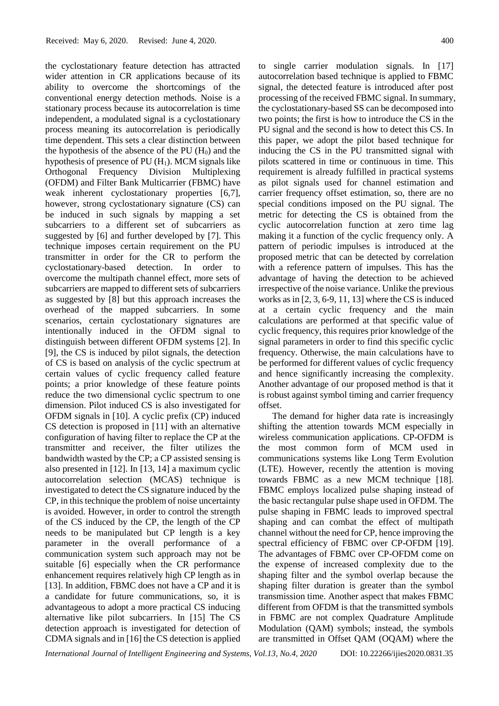the cyclostationary feature detection has attracted wider attention in CR applications because of its ability to overcome the shortcomings of the conventional energy detection methods. Noise is a stationary process because its autocorrelation is time independent, a modulated signal is a cyclostationary process meaning its autocorrelation is periodically time dependent. This sets a clear distinction between the hypothesis of the absence of the PU  $(H<sub>0</sub>)$  and the hypothesis of presence of PU  $(H_1)$ . MCM signals like Orthogonal Frequency Division Multiplexing (OFDM) and Filter Bank Multicarrier (FBMC) have weak inherent cyclostationary properties [6,7], however, strong cyclostationary signature (CS) can be induced in such signals by mapping a set subcarriers to a different set of subcarriers as suggested by [6] and further developed by [7]. This technique imposes certain requirement on the PU transmitter in order for the CR to perform the cyclostationary-based detection. In order to overcome the multipath channel effect, more sets of subcarriers are mapped to different sets of subcarriers as suggested by [8] but this approach increases the overhead of the mapped subcarriers. In some scenarios, certain cyclostationary signatures are intentionally induced in the OFDM signal to distinguish between different OFDM systems [2]. In [9], the CS is induced by pilot signals, the detection of CS is based on analysis of the cyclic spectrum at certain values of cyclic frequency called feature points; a prior knowledge of these feature points reduce the two dimensional cyclic spectrum to one dimension. Pilot induced CS is also investigated for OFDM signals in [10]. A cyclic prefix (CP) induced CS detection is proposed in [11] with an alternative configuration of having filter to replace the CP at the transmitter and receiver, the filter utilizes the bandwidth wasted by the CP; a CP assisted sensing is also presented in [12]. In [13, 14] a maximum cyclic autocorrelation selection (MCAS) technique is investigated to detect the CS signature induced by the CP, in this technique the problem of noise uncertainty is avoided. However, in order to control the strength of the CS induced by the CP, the length of the CP needs to be manipulated but CP length is a key parameter in the overall performance of a communication system such approach may not be suitable [6] especially when the CR performance enhancement requires relatively high CP length as in [13]. In addition, FBMC does not have a CP and it is a candidate for future communications, so, it is advantageous to adopt a more practical CS inducing alternative like pilot subcarriers. In [15] The CS detection approach is investigated for detection of CDMA signals and in [16] the CS detection is applied to single carrier modulation signals. In [17] autocorrelation based technique is applied to FBMC signal, the detected feature is introduced after post processing of the received FBMC signal. In summary, the cyclostationary-based SS can be decomposed into two points; the first is how to introduce the CS in the PU signal and the second is how to detect this CS. In this paper, we adopt the pilot based technique for inducing the CS in the PU transmitted signal with pilots scattered in time or continuous in time. This requirement is already fulfilled in practical systems as pilot signals used for channel estimation and carrier frequency offset estimation, so, there are no special conditions imposed on the PU signal. The metric for detecting the CS is obtained from the cyclic autocorrelation function at zero time lag making it a function of the cyclic frequency only. A pattern of periodic impulses is introduced at the proposed metric that can be detected by correlation with a reference pattern of impulses. This has the advantage of having the detection to be achieved irrespective of the noise variance. Unlike the previous works as in [2, 3, 6-9, 11, 13] where the CS is induced at a certain cyclic frequency and the main calculations are performed at that specific value of cyclic frequency, this requires prior knowledge of the signal parameters in order to find this specific cyclic frequency. Otherwise, the main calculations have to be performed for different values of cyclic frequency and hence significantly increasing the complexity. Another advantage of our proposed method is that it is robust against symbol timing and carrier frequency offset.

The demand for higher data rate is increasingly shifting the attention towards MCM especially in wireless communication applications. CP-OFDM is the most common form of MCM used in communications systems like Long Term Evolution (LTE). However, recently the attention is moving towards FBMC as a new MCM technique [18]. FBMC employs localized pulse shaping instead of the basic rectangular pulse shape used in OFDM. The pulse shaping in FBMC leads to improved spectral shaping and can combat the effect of multipath channel without the need for CP, hence improving the spectral efficiency of FBMC over CP-OFDM [19]. The advantages of FBMC over CP-OFDM come on the expense of increased complexity due to the shaping filter and the symbol overlap because the shaping filter duration is greater than the symbol transmission time. Another aspect that makes FBMC different from OFDM is that the transmitted symbols in FBMC are not complex Quadrature Amplitude Modulation (QAM) symbols; instead, the symbols are transmitted in Offset QAM (OQAM) where the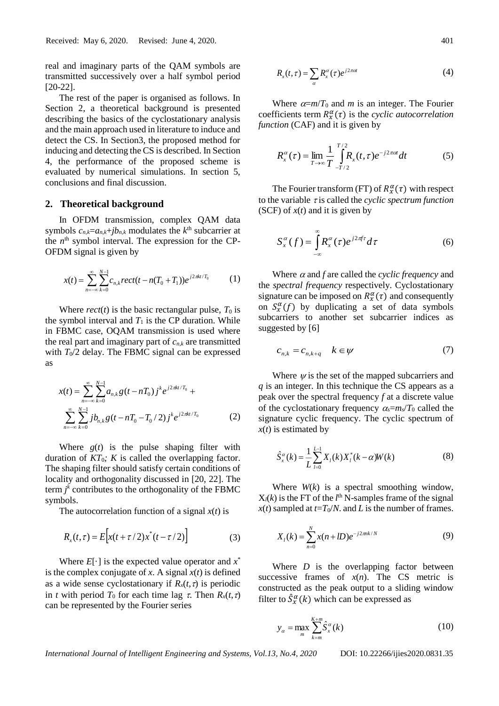real and imaginary parts of the QAM symbols are transmitted successively over a half symbol period [20-22].

The rest of the paper is organised as follows. In Section 2, a theoretical background is presented describing the basics of the cyclostationary analysis and the main approach used in literature to induce and detect the CS. In Section3, the proposed method for inducing and detecting the CS is described. In Section 4, the performance of the proposed scheme is evaluated by numerical simulations. In section 5, conclusions and final discussion.

#### **2. Theoretical background**

In OFDM transmission, complex QAM data symbols  $c_{n,k}=a_{n,k}+jb_{n,k}$  modulates the  $k^{\text{th}}$  subcarrier at the  $n<sup>th</sup>$  symbol interval. The expression for the CP-OFDM signal is given by

$$
x(t) = \sum_{n=-\infty}^{\infty} \sum_{k=0}^{N-1} c_{n,k} rect(t - n(T_0 + T_1))e^{j2\pi kt/T_0}
$$
 (1)

Where  $rect(t)$  is the basic rectangular pulse,  $T_0$  is the symbol interval and  $T_1$  is the CP duration. While in FBMC case, OQAM transmission is used where the real part and imaginary part of *cn*,*<sup>k</sup>* are transmitted with  $T_0/2$  delay. The FBMC signal can be expressed as

$$
x(t) = \sum_{n=-\infty}^{\infty} \sum_{k=0}^{N-1} a_{n,k} g(t - nT_0) j^k e^{j2\pi kt/T_0} +
$$
  

$$
\sum_{n=-\infty}^{\infty} \sum_{k=0}^{N-1} j b_{n,k} g(t - nT_0 - T_0 / 2) j^k e^{j2\pi kt/T_0}
$$
(2)

Where  $g(t)$  is the pulse shaping filter with duration of  $KT_0$ ; K is called the overlapping factor. The shaping filter should satisfy certain conditions of locality and orthogonality discussed in [20, 22]. The term  $j^k$  contributes to the orthogonality of the FBMC symbols.

The autocorrelation function of a signal *x*(*t*) is

$$
R_x(t,\tau) = E\Big[x(t+\tau/2)x^*(t-\tau/2)\Big]
$$
 (3)

Where  $E[\cdot]$  is the expected value operator and  $x^*$ is the complex conjugate of  $x$ . A signal  $x(t)$  is defined as a wide sense cyclostationary if  $R_x(t, \tau)$  is periodic in *t* with period  $T_0$  for each time lag  $\tau$ . Then  $R_x(t, \tau)$ can be represented by the Fourier series

$$
R_x(t,\tau) = \sum_{\alpha} R_x^{\alpha}(\tau) e^{j2\pi\alpha t}
$$
 (4)

Where  $\alpha=m/T_0$  and *m* is an integer. The Fourier coefficients term  $R_x^{\alpha}(\tau)$  is the *cyclic autocorrelation function* (CAF) and it is given by

$$
R_x^{\alpha}(\tau) = \lim_{T \to \infty} \frac{1}{T} \int_{-T/2}^{T/2} R_x(t, \tau) e^{-j2\pi\alpha t} dt
$$
 (5)

The Fourier transform (FT) of  $R_x^{\alpha}(\tau)$  with respect to the variable  $\tau$  is called the *cyclic spectrum function* (SCF) of *x*(*t*) and it is given by

$$
S_x^{\alpha}(f) = \int_{-\infty}^{\infty} R_x^{\alpha}(\tau) e^{j2\pi f \tau} d\tau
$$
 (6)

Where  $\alpha$  and  $f$  are called the *cyclic frequency* and the *spectral frequency* respectively. Cyclostationary signature can be imposed on  $R_x^{\alpha}(\tau)$  and consequently on  $S_{x}^{\alpha}(f)$  by duplicating a set of data symbols subcarriers to another set subcarrier indices as suggested by [6]

$$
c_{n,k} = c_{n,k+q} \quad k \in \mathcal{V} \tag{7}
$$

Where  $\psi$  is the set of the mapped subcarriers and *q* is an integer. In this technique the CS appears as a peak over the spectral frequency *f* at a discrete value of the cyclostationary frequency  $\alpha_s = m_s/T_0$  called the signature cyclic frequency. The cyclic spectrum of *x*(*t*) is estimated by

$$
\hat{S}_x^{\alpha}(k) = \frac{1}{L} \sum_{l=0}^{L-1} X_l(k) X_l^{*}(k - \alpha) W(k)
$$
\n(8)

Where *W*(*k*) is a spectral smoothing window,  $X_l(k)$  is the FT of the  $l^{\text{th}}$  N-samples frame of the signal  $x(t)$  sampled at  $t=T_0/N$ . and *L* is the number of frames.

$$
X_{l}(k) = \sum_{n=0}^{N} x(n + lD)e^{-j2\pi n k/N}
$$
\n(9)

Where *D* is the overlapping factor between successive frames of  $x(n)$ . The CS metric is constructed as the peak output to a sliding window filter to  $\hat{S}_{x}^{\alpha}(k)$  which can be expressed as

$$
y_{\alpha} = \max_{m} \sum_{k=m}^{K+m} \hat{S}_{x}^{\alpha}(k)
$$
 (10)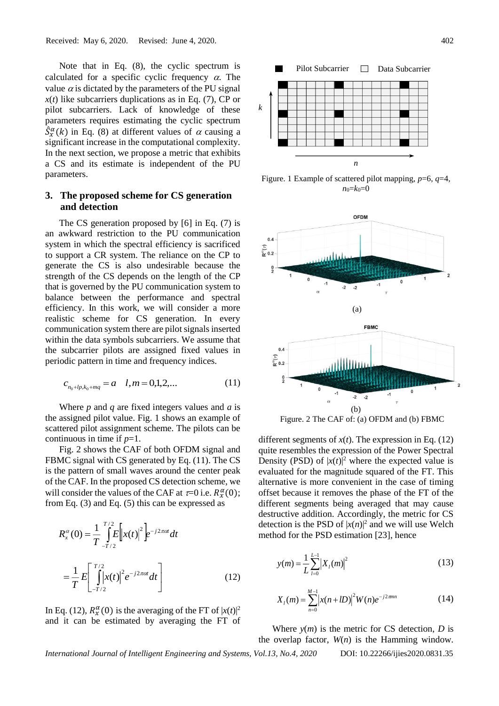Note that in Eq. (8), the cyclic spectrum is calculated for a specific cyclic frequency  $\alpha$ . The value  $\alpha$  is dictated by the parameters of the PU signal  $x(t)$  like subcarriers duplications as in Eq. (7), CP or pilot subcarriers. Lack of knowledge of these parameters requires estimating the cyclic spectrum  $\hat{S}_{x}^{\alpha}(k)$  in Eq. (8) at different values of  $\alpha$  causing a significant increase in the computational complexity. In the next section, we propose a metric that exhibits a CS and its estimate is independent of the PU parameters.

# **3. The proposed scheme for CS generation and detection**

The CS generation proposed by [6] in Eq. (7) is an awkward restriction to the PU communication system in which the spectral efficiency is sacrificed to support a CR system. The reliance on the CP to generate the CS is also undesirable because the strength of the CS depends on the length of the CP that is governed by the PU communication system to balance between the performance and spectral efficiency. In this work, we will consider a more realistic scheme for CS generation. In every communication system there are pilot signals inserted within the data symbols subcarriers. We assume that the subcarrier pilots are assigned fixed values in periodic pattern in time and frequency indices.

$$
c_{n_0+lp,k_0+mq} = a \quad l,m = 0,1,2,... \tag{11}
$$

Where *p* and *q* are fixed integers values and *a* is the assigned pilot value. Fig. 1 shows an example of scattered pilot assignment scheme. The pilots can be continuous in time if *p*=1.

Fig. 2 shows the CAF of both OFDM signal and FBMC signal with CS generated by Eq. (11). The CS is the pattern of small waves around the center peak of the CAF. In the proposed CS detection scheme, we will consider the values of the CAF at  $\tau=0$  i.e.  $R_x^{\alpha}(0)$ ; from Eq. (3) and Eq. (5) this can be expressed as

$$
R_{x}^{\alpha}(0) = \frac{1}{T} \int_{-T/2}^{T/2} E\left[x(t)\right]^{2} e^{-j2\pi\alpha t} dt
$$
  

$$
= \frac{1}{T} E\left[\int_{-T/2}^{T/2} |x(t)|^{2} e^{-j2\pi\alpha t} dt\right]
$$
(12)

In Eq. (12),  $R_x^{\alpha}(0)$  is the averaging of the FT of  $|x(t)|^2$ and it can be estimated by averaging the FT of



Figure. 1 Example of scattered pilot mapping, *p*=6, *q*=4,  $n_0 = k_0 = 0$ 



Figure. 2 The CAF of: (a) OFDM and (b) FBMC

different segments of  $x(t)$ . The expression in Eq. (12) quite resembles the expression of the Power Spectral Density (PSD) of  $|x(t)|^2$  where the expected value is evaluated for the magnitude squared of the FT. This alternative is more convenient in the case of timing offset because it removes the phase of the FT of the different segments being averaged that may cause destructive addition. Accordingly, the metric for CS detection is the PSD of  $|x(n)|^2$  and we will use Welch method for the PSD estimation [23], hence

$$
y(m) = \frac{1}{L} \sum_{l=0}^{L-1} |X_l(m)|^2
$$
 (13)

$$
X_{i}(m) = \sum_{n=0}^{M-1} |x(n+1D)|^{2} W(n) e^{-j2\pi mn}
$$
 (14)

Where  $y(m)$  is the metric for CS detection, *D* is the overlap factor, *W*(*n*) is the Hamming window.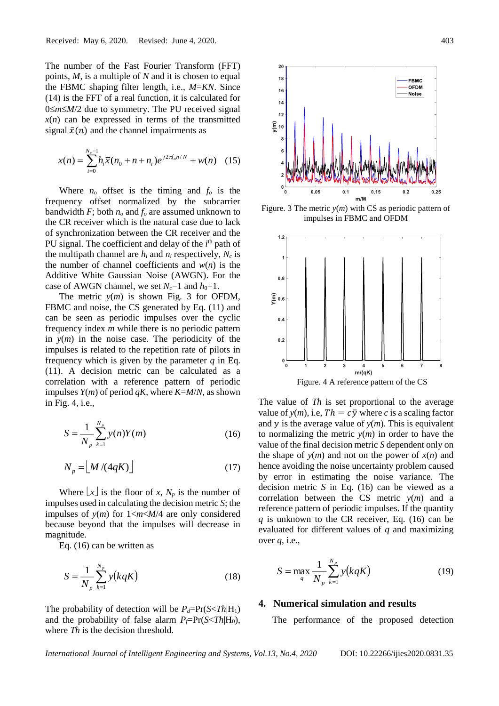The number of the Fast Fourier Transform (FFT) points, *M*, is a multiple of *N* and it is chosen to equal the FBMC shaping filter length, i.e., *M*=*KN*. Since (14) is the FFT of a real function, it is calculated for  $0 \le m \le M/2$  due to symmetry. The PU received signal  $x(n)$  can be expressed in terms of the transmitted signal  $\bar{x}(n)$  and the channel impairments as

$$
x(n) = \sum_{i=0}^{N_c - 1} h_i \overline{x}(n_0 + n + n_i) e^{j2\pi f_o n/N} + w(n) \quad (15)
$$

Where  $n_0$  offset is the timing and  $f_0$  is the frequency offset normalized by the subcarrier bandwidth *F*; both *n<sup>o</sup>* and *f<sup>o</sup>* are assumed unknown to the CR receiver which is the natural case due to lack of synchronization between the CR receiver and the PU signal. The coefficient and delay of the *i*<sup>th</sup> path of the multipath channel are  $h_i$  and  $n_i$  respectively,  $N_c$  is the number of channel coefficients and *w*(*n*) is the Additive White Gaussian Noise (AWGN). For the case of AWGN channel, we set  $N_c=1$  and  $h_0=1$ .

The metric *y*(*m*) is shown Fig. 3 for OFDM, FBMC and noise, the CS generated by Eq.  $(11)$  and can be seen as periodic impulses over the cyclic frequency index *m* while there is no periodic pattern in *y*(*m*) in the noise case. The periodicity of the impulses is related to the repetition rate of pilots in frequency which is given by the parameter *q* in Eq. (11). A decision metric can be calculated as a correlation with a reference pattern of periodic impulses  $Y(m)$  of period  $qK$ , where  $K=M/N$ , as shown in Fig. 4, i.e.,

$$
S = \frac{1}{N_p} \sum_{k=1}^{N_p} y(n) Y(m)
$$
 (16)

$$
N_p = \left\lfloor M/(4qK) \right\rfloor \tag{17}
$$

Where  $\lfloor x \rfloor$  is the floor of *x*,  $N_p$  is the number of impulses used in calculating the decision metric *S*; the impulses of *y*(*m*) for 1<*m*<*M*/4 are only considered because beyond that the impulses will decrease in magnitude.

Eq. (16) can be written as

$$
S = \frac{1}{N_p} \sum_{k=1}^{N_p} y(kqK)
$$
 (18)

The probability of detection will be  $P_d = Pr(S \leq Th | H_1)$ and the probability of false alarm  $P_f = Pr(S \leq Th | H_0)$ , where *Th* is the decision threshold.



Figure. 3 The metric  $y(m)$  with CS as periodic pattern of impulses in FBMC and OFDM



The value of *Th* is set proportional to the average value of  $y(m)$ , i.e,  $Th = c\overline{y}$  where *c* is a scaling factor and  $y$  is the average value of  $y(m)$ . This is equivalent to normalizing the metric  $y(m)$  in order to have the value of the final decision metric *S* dependent only on the shape of  $y(m)$  and not on the power of  $x(n)$  and hence avoiding the noise uncertainty problem caused

by error in estimating the noise variance. The decision metric *S* in Eq. (16) can be viewed as a correlation between the CS metric *y*(*m*) and a reference pattern of periodic impulses. If the quantity *q* is unknown to the CR receiver, Eq. (16) can be evaluated for different values of *q* and maximizing over *q*, i.e.,

$$
S = \max_{q} \frac{1}{N_p} \sum_{k=1}^{N_p} y(kqK)
$$
 (19)

### **4. Numerical simulation and results**

The performance of the proposed detection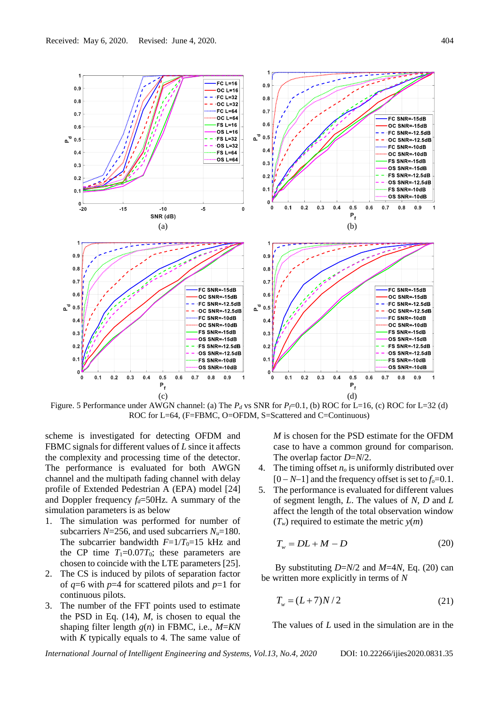

Figure. 5 Performance under AWGN channel: (a) The  $P_d$  vs SNR for  $P_f$ =0.1, (b) ROC for L=16, (c) ROC for L=32 (d) ROC for L=64, (F=FBMC, O=OFDM, S=Scattered and C=Continuous)

scheme is investigated for detecting OFDM and FBMC signals for different values of *L* since it affects the complexity and processing time of the detector. The performance is evaluated for both AWGN channel and the multipath fading channel with delay profile of Extended Pedestrian A (EPA) model [24] and Doppler frequency *fd*=50Hz. A summary of the simulation parameters is as below

- 1. The simulation was performed for number of subcarriers  $N=256$ , and used subcarriers  $N_u=180$ . The subcarrier bandwidth  $F=1/T_0=15$  kHz and the CP time  $T_1=0.07T_0$ ; these parameters are chosen to coincide with the LTE parameters [25].
- 2. The CS is induced by pilots of separation factor of *q*=6 with *p*=4 for scattered pilots and *p*=1 for continuous pilots.
- 3. The number of the FFT points used to estimate the PSD in Eq. (14), *M*, is chosen to equal the shaping filter length *g*(*n*) in FBMC, i.e., *M*=*KN* with *K* typically equals to 4. The same value of

*M* is chosen for the PSD estimate for the OFDM case to have a common ground for comparison. The overlap factor *D*=*N*/2.

- 4. The timing offset *n<sup>o</sup>* is uniformly distributed over [0 − *N*−1] and the frequency offset is set to *fo*=0.1.
- 5. The performance is evaluated for different values of segment length, *L*. The values of *N*, *D* and *L* affect the length of the total observation window  $(T_w)$  required to estimate the metric  $y(m)$

$$
T_w = DL + M - D \tag{20}
$$

By substituting *D*=*N*/2 and *M*=4*N*, Eq. (20) can be written more explicitly in terms of *N*

$$
T_w = (L+7)N/2
$$
 (21)

The values of *L* used in the simulation are in the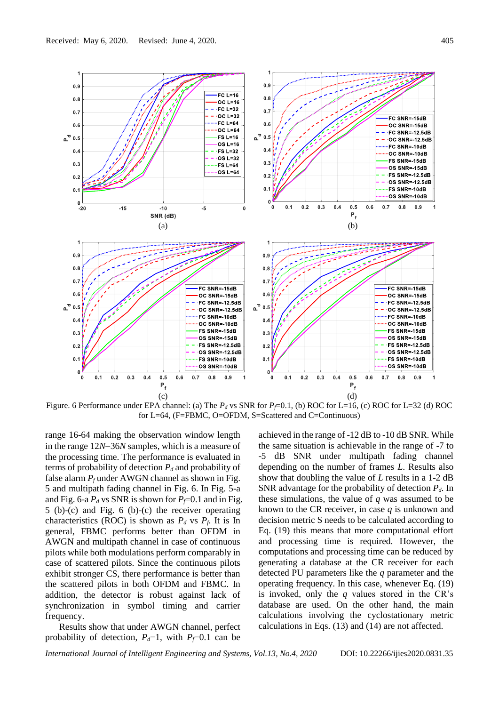

Figure. 6 Performance under EPA channel: (a) The  $P_d$  vs SNR for  $P_f$ =0.1, (b) ROC for L=16, (c) ROC for L=32 (d) ROC for L=64, (F=FBMC, O=OFDM, S=Scattered and C=Continuous)

range 16-64 making the observation window length in the range 12*N*−36*N* samples, which is a measure of the processing time. The performance is evaluated in terms of probability of detection  $P_d$  and probability of false alarm  $P_f$  under AWGN channel as shown in Fig. 5 and multipath fading channel in Fig. 6. In Fig. 5-a and Fig. 6-a  $P_d$  vs SNR is shown for  $P_f$ =0.1 and in Fig. 5 (b)-(c) and Fig. 6 (b)-(c) the receiver operating characteristics (ROC) is shown as  $P_d$  vs  $P_f$ . It is In general, FBMC performs better than OFDM in AWGN and multipath channel in case of continuous pilots while both modulations perform comparably in case of scattered pilots. Since the continuous pilots exhibit stronger CS, there performance is better than the scattered pilots in both OFDM and FBMC. In addition, the detector is robust against lack of synchronization in symbol timing and carrier frequency.

Results show that under AWGN channel, perfect probability of detection,  $P_d=1$ , with  $P_f=0.1$  can be

achieved in the range of -12 dB to -10 dB SNR. While the same situation is achievable in the range of -7 to -5 dB SNR under multipath fading channel depending on the number of frames *L*. Results also show that doubling the value of *L* results in a 1-2 dB SNR advantage for the probability of detection *Pd*. In these simulations, the value of *q* was assumed to be known to the CR receiver, in case *q* is unknown and decision metric S needs to be calculated according to Eq. (19) this means that more computational effort and processing time is required. However, the computations and processing time can be reduced by generating a database at the CR receiver for each detected PU parameters like the *q* parameter and the operating frequency. In this case, whenever Eq. (19) is invoked, only the *q* values stored in the CR's database are used. On the other hand, the main calculations involving the cyclostationary metric calculations in Eqs. (13) and (14) are not affected.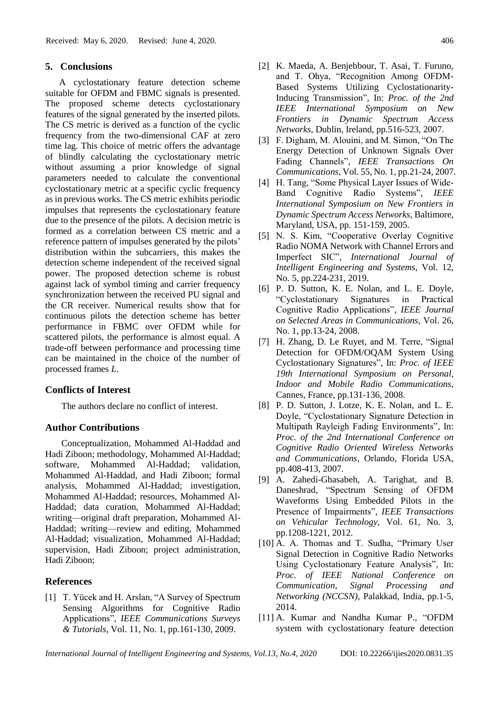### **5. Conclusions**

A cyclostationary feature detection scheme suitable for OFDM and FBMC signals is presented. The proposed scheme detects cyclostationary features of the signal generated by the inserted pilots. The CS metric is derived as a function of the cyclic frequency from the two-dimensional CAF at zero time lag. This choice of metric offers the advantage of blindly calculating the cyclostationary metric without assuming a prior knowledge of signal parameters needed to calculate the conventional cyclostationary metric at a specific cyclic frequency as in previous works. The CS metric exhibits periodic impulses that represents the cyclostationary feature due to the presence of the pilots. A decision metric is formed as a correlation between CS metric and a reference pattern of impulses generated by the pilots' distribution within the subcarriers, this makes the detection scheme independent of the received signal power. The proposed detection scheme is robust against lack of symbol timing and carrier frequency synchronization between the received PU signal and the CR receiver. Numerical results show that for continuous pilots the detection scheme has better performance in FBMC over OFDM while for scattered pilots, the performance is almost equal. A trade-off between performance and processing time can be maintained in the choice of the number of processed frames *L*.

### **Conflicts of Interest**

The authors declare no conflict of interest.

#### **Author Contributions**

Conceptualization, Mohammed Al-Haddad and Hadi Ziboon; methodology, Mohammed Al-Haddad; software, Mohammed Al-Haddad; validation, Mohammed Al-Haddad, and Hadi Ziboon; formal analysis, Mohammed Al-Haddad; investigation, Mohammed Al-Haddad; resources, Mohammed Al-Haddad; data curation, Mohammed Al-Haddad; writing—original draft preparation, Mohammed Al-Haddad; writing—review and editing, Mohammed Al-Haddad; visualization, Mohammed Al-Haddad; supervision, Hadi Ziboon; project administration, Hadi Ziboon;

## **References**

[1] T. Yücek and H. Arslan, "A Survey of Spectrum Sensing Algorithms for Cognitive Radio Applications", *IEEE Communications Surveys & Tutorials*, Vol. 11, No. 1, pp.161-130, 2009.

- [2] K. Maeda, A. Benjebbour, T. Asai, T. Furuno, and T. Ohya, "Recognition Among OFDM-Based Systems Utilizing Cyclostationarity-Inducing Transmission", In: *Proc. of the 2nd IEEE International Symposium on New Frontiers in Dynamic Spectrum Access Networks*, Dublin, Ireland, pp.516-523, 2007.
- [3] F. Digham, M. Alouini, and M. Simon, "On The Energy Detection of Unknown Signals Over Fading Channels", *IEEE Transactions On Communications*, Vol. 55, No. 1, pp.21-24, 2007.
- [4] H. Tang, "Some Physical Layer Issues of Wide-Band Cognitive Radio Systems", *IEEE International Symposium on New Frontiers in Dynamic Spectrum Access Networks*, Baltimore, Maryland, USA, pp. 151-159, 2005.
- [5] N. S. Kim, "Cooperative Overlay Cognitive Radio NOMA Network with Channel Errors and Imperfect SIC", *International Journal of Intelligent Engineering and Systems*, Vol. 12, No. 5, pp.224-231, 2019.
- [6] P. D. Sutton, K. E. Nolan, and L. E. Doyle, "Cyclostationary Signatures in Practical Cognitive Radio Applications", *IEEE Journal on Selected Areas in Communications*, Vol. 26, No. 1, pp.13-24, 2008.
- [7] H. Zhang, D. Le Ruyet, and M. Terre, "Signal Detection for OFDM/OQAM System Using Cyclostationary Signatures", In: *Proc. of IEEE 19th International Symposium on Personal, Indoor and Mobile Radio Communications*, Cannes, France, pp.131-136, 2008.
- [8] P. D. Sutton, J. Lotze, K. E. Nolan, and L. E. Doyle, "Cyclostationary Signature Detection in Multipath Rayleigh Fading Environments", In: *Proc. of the 2nd International Conference on Cognitive Radio Oriented Wireless Networks and Communications*, Orlando, Florida USA, pp.408-413, 2007.
- [9] A. Zahedi-Ghasabeh, A. Tarighat, and B. Daneshrad, "Spectrum Sensing of OFDM Waveforms Using Embedded Pilots in the Presence of Impairments", *IEEE Transactions on Vehicular Technology*, Vol. 61, No. 3, pp.1208-1221, 2012.
- [10] A. A. Thomas and T. Sudha, "Primary User Signal Detection in Cognitive Radio Networks Using Cyclostationary Feature Analysis", In: *Proc. of IEEE National Conference on Communication, Signal Processing and Networking (NCCSN)*, Palakkad, India, pp.1-5, 2014.
- [11] A. Kumar and Nandha Kumar P., "OFDM system with cyclostationary feature detection